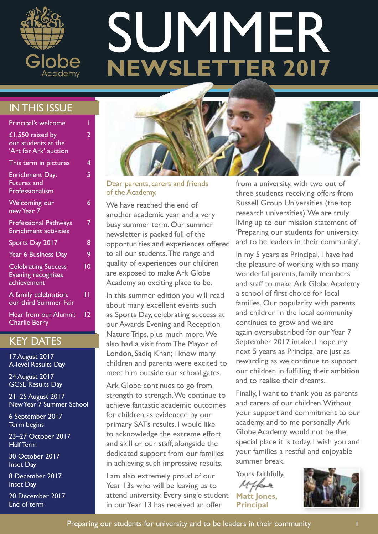

# **NEWSLETTER 2017** SUMMER

### IN THIS ISSUE

| Principal's welcome                                                    |    |
|------------------------------------------------------------------------|----|
| £1,550 raised by<br>our students at the<br>'Art for Ark' auction       | 2  |
| This term in pictures                                                  | 4  |
| <b>Enrichment Day:</b><br><b>Futures and</b><br>Professionalism        | 5  |
| <b>Welcoming our</b><br>new Year 7                                     | 6  |
| <b>Professional Pathways</b><br><b>Enrichment activities</b>           |    |
| Sports Day 2017                                                        | 8  |
| Year 6 Business Day                                                    | 9  |
| <b>Celebrating Success</b><br><b>Evening recognises</b><br>achievement | 10 |
| A family celebration:<br>our third Summer Fair                         | П  |
| Hear from our Alumni:<br><b>Charlie Berry</b>                          | 12 |

#### KEY DATES

17 August 2017 A-level Results Day

24 August 2017 GCSE Results Day

21–25 August 2017 New Year 7 Summer School

6 September 2017 Term begins

23–27 October 2017 Half Term

30 October 2017 Inset Day

8 December 2017 Inset Day

20 December 2017 End of term



Dear parents, carers and friends of the Academy,

We have reached the end of another academic year and a very busy summer term. Our summer newsletter is packed full of the opportunities and experiences offered to all our students. The range and quality of experiences our children are exposed to make Ark Globe Academy an exciting place to be.

In this summer edition you will read about many excellent events such as Sports Day, celebrating success at our Awards Evening and Reception Nature Trips, plus much more. We also had a visit from The Mayor of London, Sadiq Khan; I know many children and parents were excited to meet him outside our school gates.

Ark Globe continues to go from strength to strength. We continue to achieve fantastic academic outcomes for children as evidenced by our primary SATs results. I would like to acknowledge the extreme effort and skill or our staff, alongside the dedicated support from our families in achieving such impressive results.

I am also extremely proud of our Year 13s who will be leaving us to attend university. Every single student in our Year 13 has received an offer

from a university, with two out of three students receiving offers from Russell Group Universities (the top research universities). We are truly living up to our mission statement of 'Preparing our students for university and to be leaders in their community'.

In my 5 years as Principal, I have had the pleasure of working with so many wonderful parents, family members and staff to make Ark Globe Academy a school of first choice for local families. Our popularity with parents and children in the local community continues to grow and we are again oversubscribed for our Year 7 September 2017 intake. I hope my next 5 years as Principal are just as rewarding as we continue to support our children in fulfilling their ambition and to realise their dreams.

Finally, I want to thank you as parents and carers of our children. Without your support and commitment to our academy, and to me personally Ark Globe Academy would not be the special place it is today. I wish you and your families a restful and enjoyable summer break.

Yours faithfully, **Matt Jones,** 

**Principal**

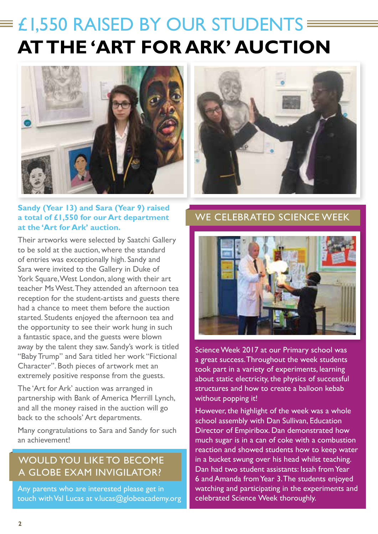### $\equiv$  £1,550 RAISED BY OUR STUDENTS  $\equiv$ **AT THE 'ART FOR ARK' AUCTION**



#### **Sandy (Year 13) and Sara (Year 9) raised a total of £1,550 for our Art department at the 'Art for Ark' auction.**

Their artworks were selected by Saatchi Gallery to be sold at the auction, where the standard of entries was exceptionally high. Sandy and Sara were invited to the Gallery in Duke of York Square, West London, along with their art teacher Ms West. They attended an afternoon tea reception for the student-artists and guests there had a chance to meet them before the auction started. Students enjoyed the afternoon tea and the opportunity to see their work hung in such a fantastic space, and the guests were blown away by the talent they saw. Sandy's work is titled "Baby Trump" and Sara titled her work "Fictional Character". Both pieces of artwork met an extremely positive response from the guests.

The 'Art for Ark' auction was arranged in partnership with Bank of America Merrill Lynch, and all the money raised in the auction will go back to the schools' Art departments.

Many congratulations to Sara and Sandy for such an achievement!

#### WOULD YOU LIKE TO BECOME A GLOBE EXAM INVIGILATOR?

Any parents who are interested please get in touch with Val Lucas at v.lucas@globeacademy.org



#### WE CELEBRATED SCIENCE WEEK



Science Week 2017 at our Primary school was a great success. Throughout the week students took part in a variety of experiments, learning about static electricity, the physics of successful structures and how to create a balloon kebab without popping it!

However, the highlight of the week was a whole school assembly with Dan Sullivan, Education Director of Empiribox. Dan demonstrated how much sugar is in a can of coke with a combustion reaction and showed students how to keep water in a bucket swung over his head whilst teaching. Dan had two student assistants: Issah from Year 6 and Amanda from Year 3. The students enjoyed watching and participating in the experiments and celebrated Science Week thoroughly.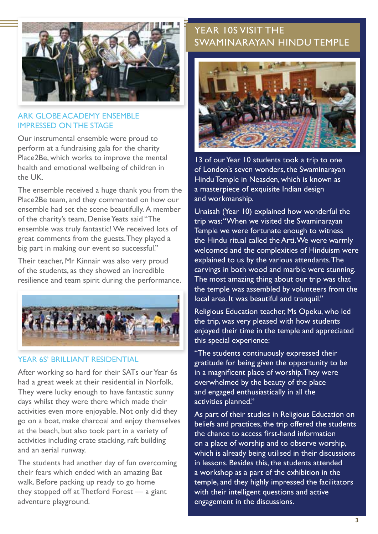

#### ARK GLOBE ACADEMY ENSEMBLE IMPRESSED ON THE STAGE

Our instrumental ensemble were proud to perform at a fundraising gala for the charity Place2Be, which works to improve the mental health and emotional wellbeing of children in the UK.

The ensemble received a huge thank you from the Place2Be team, and they commented on how our ensemble had set the scene beautifully. A member of the charity's team, Denise Yeats said "The ensemble was truly fantastic! We received lots of great comments from the guests. They played a big part in making our event so successful."

Their teacher, Mr Kinnair was also very proud of the students, as they showed an incredible resilience and team spirit during the performance.



#### YEAR 6S' BRILLIANT RESIDENTIAL

After working so hard for their SATs our Year 6s had a great week at their residential in Norfolk. They were lucky enough to have fantastic sunny days whilst they were there which made their activities even more enjoyable. Not only did they go on a boat, make charcoal and enjoy themselves at the beach, but also took part in a variety of activities including crate stacking, raft building and an aerial runway.

The students had another day of fun overcoming their fears which ended with an amazing Bat walk. Before packing up ready to go home they stopped off at Thetford Forest — a giant adventure playground.

#### YEAR 10S VISIT THE SWAMINARAYAN HINDU TEMPLE



13 of our Year 10 students took a trip to one of London's seven wonders, the Swaminarayan Hindu Temple in Neasden, which is known as a masterpiece of exquisite Indian design and workmanship.

Unaisah (Year 10) explained how wonderful the trip was: "When we visited the Swaminarayan Temple we were fortunate enough to witness the Hindu ritual called the Arti. We were warmly welcomed and the complexities of Hinduism were explained to us by the various attendants. The carvings in both wood and marble were stunning. The most amazing thing about our trip was that the temple was assembled by volunteers from the local area. It was beautiful and tranquil."

Religious Education teacher, Ms Opeku, who led the trip, was very pleased with how students enjoyed their time in the temple and appreciated this special experience:

"The students continuously expressed their gratitude for being given the opportunity to be in a magnificent place of worship. They were overwhelmed by the beauty of the place and engaged enthusiastically in all the activities planned."

As part of their studies in Religious Education on beliefs and practices, the trip offered the students the chance to access first-hand information on a place of worship and to observe worship, which is already being utilised in their discussions in lessons. Besides this, the students attended a workshop as a part of the exhibition in the temple, and they highly impressed the facilitators with their intelligent questions and active engagement in the discussions.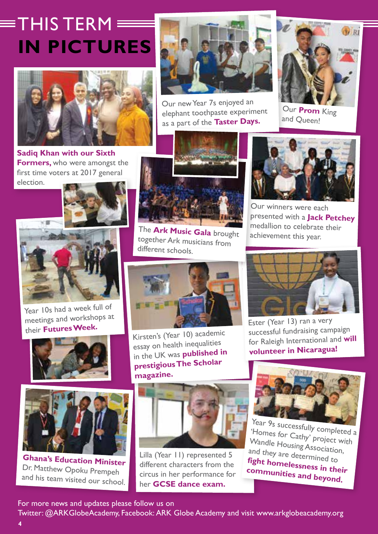## $\equiv$ THIS TFRM $\equiv$ **IN PICTURES**



**Sadiq Khan with our Sixth Formers,** who were amongst the first time voters at 2017 general election.





Year 10s had a week full of meetings and workshops at their **Futures Week.** 





**Ghana's Education Minister**  Dr. Matthew Opoku Prempeh and his team visited our school.

**4**



Our new Year 7s enjoyed an elephant toothpaste experiment as a part of the **Taster Days.**



Our **Prom** King and Queen!



The **Ark Music Gala** brought together Ark musicians from different schools.



Kirsten's (Year 10) academic essay on health inequalities in the UK was **published in prestigious The Scholar magazine.**



Lilla (Year 11) represented 5 different characters from the circus in her performance for her **GCSE dance exam.** 



Our winners were each presented with a **Jack Petchey** medallion to celebrate their achievement this year.



Ester (Year 13) ran a very successful fundraising campaign for Raleigh International and **will volunteer in Nicaragua!**



Year 9s successfully completed a 'Homes for Cathy' project with Wandle Housing Association, and they are determined to **fight homelessness in their communities and beyond.**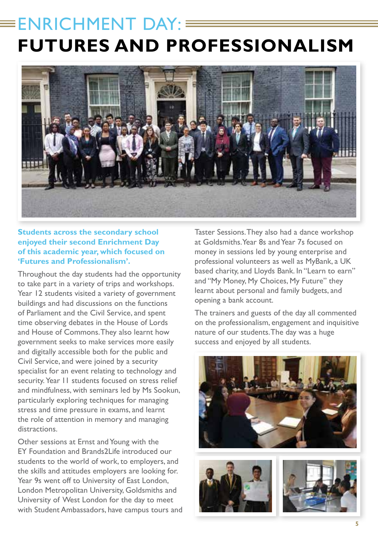### $\equiv$ ENRICHMENT DAY: **FUTURES AND PROFESSIONALISM**



#### **Students across the secondary school enjoyed their second Enrichment Day of this academic year, which focused on 'Futures and Professionalism'.**

Throughout the day students had the opportunity to take part in a variety of trips and workshops. Year 12 students visited a variety of government buildings and had discussions on the functions of Parliament and the Civil Service, and spent time observing debates in the House of Lords and House of Commons. They also learnt how government seeks to make services more easily and digitally accessible both for the public and Civil Service, and were joined by a security specialist for an event relating to technology and security. Year 11 students focused on stress relief and mindfulness, with seminars led by Ms Sookun, particularly exploring techniques for managing stress and time pressure in exams, and learnt the role of attention in memory and managing distractions.

Other sessions at Ernst and Young with the EY Foundation and Brands2Life introduced our students to the world of work, to employers, and the skills and attitudes employers are looking for. Year 9s went off to University of East London, London Metropolitan University, Goldsmiths and University of West London for the day to meet with Student Ambassadors, have campus tours and Taster Sessions. They also had a dance workshop at Goldsmiths. Year 8s and Year 7s focused on money in sessions led by young enterprise and professional volunteers as well as MyBank, a UK based charity, and Lloyds Bank. In "Learn to earn" and "My Money, My Choices, My Future" they learnt about personal and family budgets, and opening a bank account.

The trainers and guests of the day all commented on the professionalism, engagement and inquisitive nature of our students. The day was a huge success and enjoyed by all students.





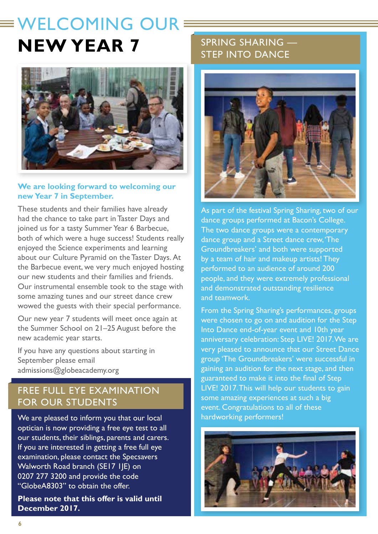### $\equiv$  WELCOMING OUR  $\equiv$ **NEW YEAR 7**



#### **We are looking forward to welcoming our new Year 7 in September.**

These students and their families have already had the chance to take part in Taster Days and joined us for a tasty Summer Year 6 Barbecue, both of which were a huge success! Students really enjoyed the Science experiments and learning about our Culture Pyramid on the Taster Days. At the Barbecue event, we very much enjoyed hosting our new students and their families and friends. Our instrumental ensemble took to the stage with some amazing tunes and our street dance crew wowed the guests with their special performance.

Our new year 7 students will meet once again at the Summer School on 21–25 August before the new academic year starts.

If you have any questions about starting in September please email admissions@globeacademy.org

#### FREE FULL EYE EXAMINATION FOR OUR STUDENTS

We are pleased to inform you that our local optician is now providing a free eye test to all our students, their siblings, parents and carers. If you are interested in getting a free full eye examination, please contact the Specsavers Walworth Road branch (SE17 1JE) on 0207 277 3200 and provide the code "GlobeA8303" to obtain the offer.

**Please note that this offer is valid until December 2017.** 

#### SPRING SHARING — STEP INTO DANCE



As part of the festival Spring Sharing, two of our dance groups performed at Bacon's College. The two dance groups were a contemporary dance group and a Street dance crew, 'The Groundbreakers' and both were supported by a team of hair and makeup artists! They performed to an audience of around 200 people, and they were extremely professional and demonstrated outstanding resilience and teamwork.

From the Spring Sharing's performances, groups were chosen to go on and audition for the Step Into Dance end-of-year event and 10th year anniversary celebration: Step LIVE! 2017. We are very pleased to announce that our Street Dance group 'The Groundbreakers' were successful in gaining an audition for the next stage, and then guaranteed to make it into the final of Step LIVE! 2017. This will help our students to gain some amazing experiences at such a big event. Congratulations to all of these hardworking performers!

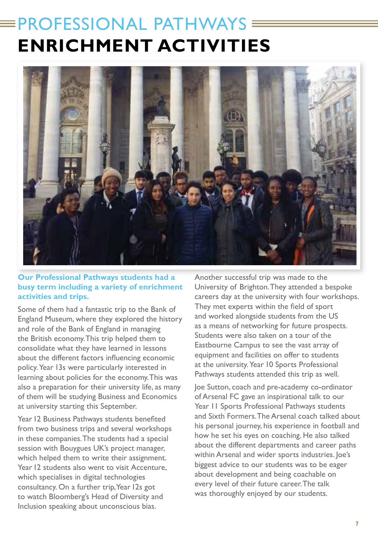### $\equiv$ PROFESSIONAL PATHWAYS **ENRICHMENT ACTIVITIES**



#### **Our Professional Pathways students had a busy term including a variety of enrichment activities and trips.**

Some of them had a fantastic trip to the Bank of England Museum, where they explored the history and role of the Bank of England in managing the British economy. This trip helped them to consolidate what they have learned in lessons about the different factors influencing economic policy. Year 13s were particularly interested in learning about policies for the economy. This was also a preparation for their university life, as many of them will be studying Business and Economics at university starting this September.

Year 12 Business Pathways students benefited from two business trips and several workshops in these companies. The students had a special session with Bouygues UK's project manager, which helped them to write their assignment. Year 12 students also went to visit Accenture, which specialises in digital technologies consultancy. On a further trip, Year 12s got to watch Bloomberg's Head of Diversity and Inclusion speaking about unconscious bias.

Another successful trip was made to the University of Brighton. They attended a bespoke careers day at the university with four workshops. They met experts within the field of sport and worked alongside students from the US as a means of networking for future prospects. Students were also taken on a tour of the Eastbourne Campus to see the vast array of equipment and facilities on offer to students at the university. Year 10 Sports Professional Pathways students attended this trip as well.

Joe Sutton, coach and pre-academy co-ordinator of Arsenal FC gave an inspirational talk to our Year 11 Sports Professional Pathways students and Sixth Formers. The Arsenal coach talked about his personal journey, his experience in football and how he set his eyes on coaching. He also talked about the different departments and career paths within Arsenal and wider sports industries. Joe's biggest advice to our students was to be eager about development and being coachable on every level of their future career. The talk was thoroughly enjoyed by our students.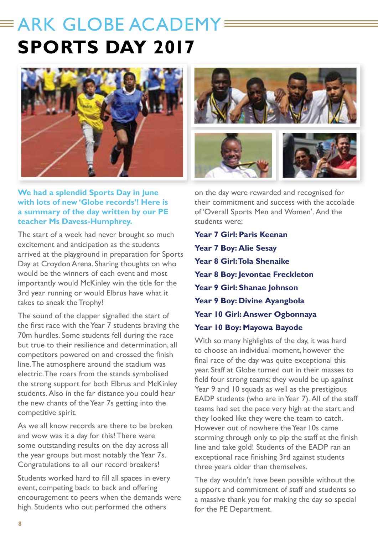### $\equiv$  ARK GLOBE ACADEMY= **SPORTS DAY 2017**



#### **We had a splendid Sports Day in June with lots of new 'Globe records'! Here is a summary of the day written by our PE teacher Ms Davess-Humphrey.**

The start of a week had never brought so much excitement and anticipation as the students arrived at the playground in preparation for Sports Day at Croydon Arena. Sharing thoughts on who would be the winners of each event and most importantly would McKinley win the title for the 3rd year running or would Elbrus have what it takes to sneak the Trophy!

The sound of the clapper signalled the start of the first race with the Year 7 students braving the 70m hurdles. Some students fell during the race but true to their resilience and determination, all competitors powered on and crossed the finish line. The atmosphere around the stadium was electric. The roars from the stands symbolised the strong support for both Elbrus and McKinley students. Also in the far distance you could hear the new chants of the Year 7s getting into the competitive spirit.

As we all know records are there to be broken and wow was it a day for this! There were some outstanding results on the day across all the year groups but most notably the Year 7s. Congratulations to all our record breakers!

Students worked hard to fill all spaces in every event, competing back to back and offering encouragement to peers when the demands were high. Students who out performed the others

on the day were rewarded and recognised for their commitment and success with the accolade of 'Overall Sports Men and Women'. And the students were;

**Year 7 Girl: Paris Keenan Year 7 Boy: Alie Sesay Year 8 Girl: Tola Shenaike Year 8 Boy: Jevontae Freckleton Year 9 Girl: Shanae Johnson Year 9 Boy: Divine Ayangbola Year 10 Girl: Answer Ogbonnaya Year 10 Boy: Mayowa Bayode** 

With so many highlights of the day, it was hard to choose an individual moment, however the final race of the day was quite exceptional this year. Staff at Globe turned out in their masses to field four strong teams; they would be up against Year 9 and 10 squads as well as the prestigious EADP students (who are in Year 7). All of the staff teams had set the pace very high at the start and they looked like they were the team to catch. However out of nowhere the Year 10s came storming through only to pip the staff at the finish line and take gold! Students of the EADP ran an exceptional race finishing 3rd against students three years older than themselves.

The day wouldn't have been possible without the support and commitment of staff and students so a massive thank you for making the day so special for the PE Department.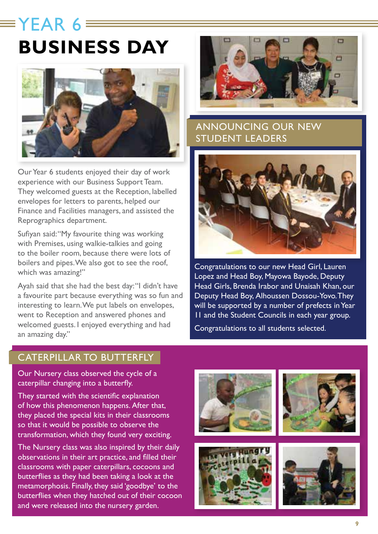### $\equiv$ YFAR 6 **BUSINESS DAY**



Our Year 6 students enjoyed their day of work experience with our Business Support Team. They welcomed guests at the Reception, labelled envelopes for letters to parents, helped our Finance and Facilities managers, and assisted the Reprographics department.

Sufiyan said: "My favourite thing was working with Premises, using walkie-talkies and going to the boiler room, because there were lots of boilers and pipes. We also got to see the roof, which was amazing!"

Ayah said that she had the best day: "I didn't have a favourite part because everything was so fun and interesting to learn. We put labels on envelopes, went to Reception and answered phones and welcomed guests. I enjoyed everything and had an amazing day."



#### ANNOUNCING OUR NEW STUDENT LEADERS



Congratulations to our new Head Girl, Lauren Lopez and Head Boy, Mayowa Bayode, Deputy Head Girls, Brenda Irabor and Unaisah Khan, our Deputy Head Boy, Alhoussen Dossou-Yovo. They will be supported by a number of prefects in Year 11 and the Student Councils in each year group. Congratulations to all students selected.

#### CATERPILLAR TO BUTTERFLY

Our Nursery class observed the cycle of a caterpillar changing into a butterfly.

They started with the scientific explanation of how this phenomenon happens. After that, they placed the special kits in their classrooms so that it would be possible to observe the transformation, which they found very exciting.

The Nursery class was also inspired by their daily observations in their art practice, and filled their classrooms with paper caterpillars, cocoons and butterflies as they had been taking a look at the metamorphosis. Finally, they said 'goodbye' to the butterflies when they hatched out of their cocoon and were released into the nursery garden.







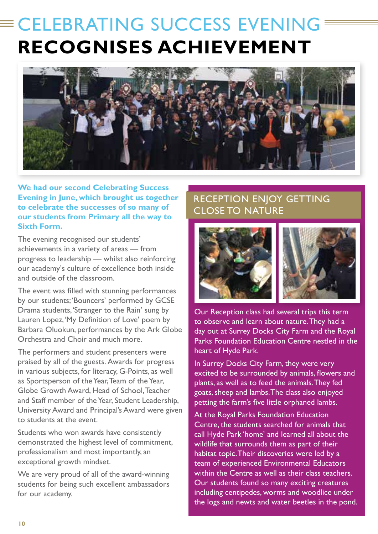### CELEBRATING SUCCESS EVENING **RECOGNISES ACHIEVEMENT**



**We had our second Celebrating Success Evening in June, which brought us together to celebrate the successes of so many of our students from Primary all the way to Sixth Form.** 

The evening recognised our students' achievements in a variety of areas — from progress to leadership — whilst also reinforcing our academy's culture of excellence both inside and outside of the classroom.

The event was filled with stunning performances by our students; 'Bouncers' performed by GCSE Drama students, 'Stranger to the Rain' sung by Lauren Lopez, 'My Definition of Love' poem by Barbara Oluokun, performances by the Ark Globe Orchestra and Choir and much more.

The performers and student presenters were praised by all of the guests. Awards for progress in various subjects, for literacy, G-Points, as well as Sportsperson of the Year, Team of the Year, Globe Growth Award, Head of School, Teacher and Staff member of the Year, Student Leadership, University Award and Principal's Award were given to students at the event.

Students who won awards have consistently demonstrated the highest level of commitment, professionalism and most importantly, an exceptional growth mindset.

We are very proud of all of the award-winning students for being such excellent ambassadors for our academy.

#### RECEPTION ENJOY GETTING CLOSE TO NATURE



Our Reception class had several trips this term to observe and learn about nature. They had a day out at Surrey Docks City Farm and the Royal Parks Foundation Education Centre nestled in the heart of Hyde Park.

In Surrey Docks City Farm, they were very excited to be surrounded by animals, flowers and plants, as well as to feed the animals. They fed goats, sheep and lambs. The class also enjoyed petting the farm's five little orphaned lambs.

At the Royal Parks Foundation Education Centre, the students searched for animals that call Hyde Park 'home' and learned all about the wildlife that surrounds them as part of their habitat topic. Their discoveries were led by a team of experienced Environmental Educators within the Centre as well as their class teachers. Our students found so many exciting creatures including centipedes, worms and woodlice under the logs and newts and water beetles in the pond.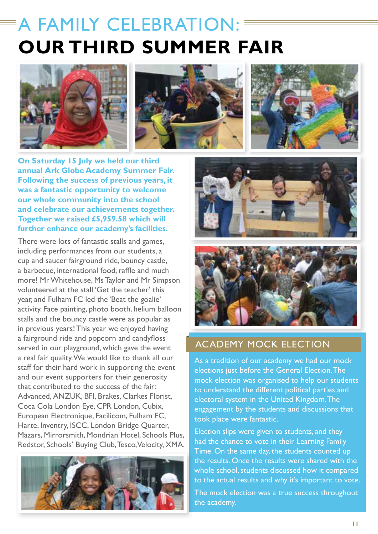### A FAMILY CELEBRATION: **OUR THIRD SUMMER FAIR**







**On Saturday 15 July we held our third annual Ark Globe Academy Summer Fair. Following the success of previous years, it was a fantastic opportunity to welcome our whole community into the school and celebrate our achievements together. Together we raised £5,959.58 which will further enhance our academy's facilities.** 

There were lots of fantastic stalls and games, including performances from our students, a cup and saucer fairground ride, bouncy castle, a barbecue, international food, raffle and much more! Mr Whitehouse, Ms Taylor and Mr Simpson volunteered at the stall 'Get the teacher' this year, and Fulham FC led the 'Beat the goalie' activity. Face painting, photo booth, helium balloon stalls and the bouncy castle were as popular as in previous years! This year we enjoyed having a fairground ride and popcorn and candyfloss served in our playground, which gave the event a real fair quality. We would like to thank all our staff for their hard work in supporting the event and our event supporters for their generosity that contributed to the success of the fair: Advanced, ANZUK, BFI, Brakes, Clarkes Florist, Coca Cola London Eye, CPR London, Cubix, European Electronique, Facilicom, Fulham FC, Harte, Inventry, ISCC, London Bridge Quarter, Mazars, Mirrorsmith, Mondrian Hotel, Schools Plus, Redstor, Schools' Buying Club, Tesco, Velocity, XMA.







#### ACADEMY MOCK ELECTION

As a tradition of our academy we had our mock elections just before the General Election. The mock election was organised to help our students to understand the different political parties and electoral system in the United Kingdom. The engagement by the students and discussions that took place were fantastic.

Election slips were given to students, and they had the chance to vote in their Learning Family Time. On the same day, the students counted up the results. Once the results were shared with the whole school, students discussed how it compared to the actual results and why it's important to vote.

The mock election was a true success throughout the academy.